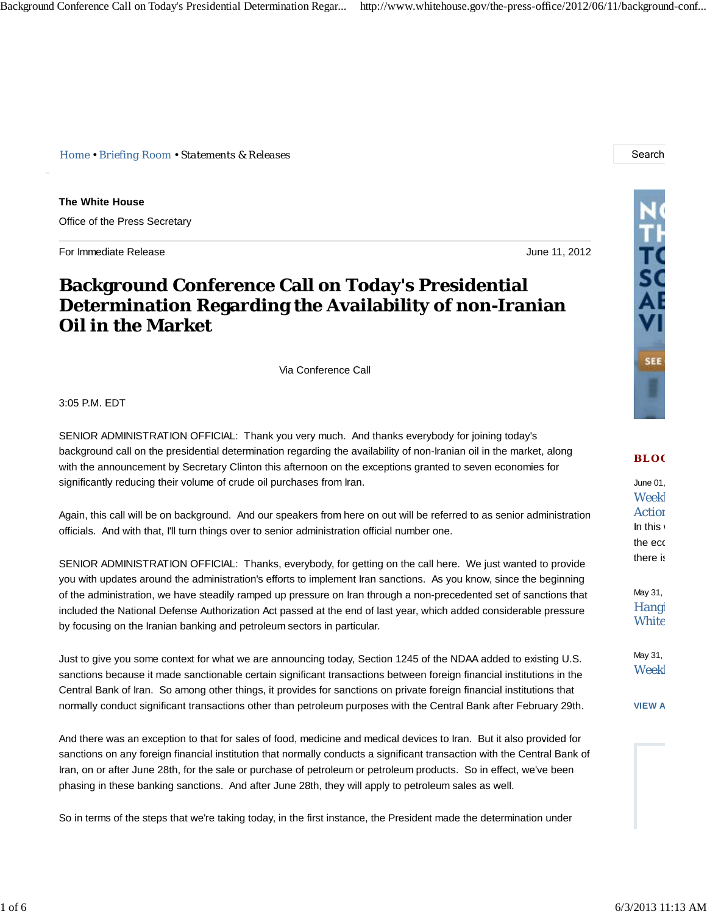*Home • Briefing Room • Statements & Releases* Search

**The White House** Office of the Press Secretary

For Immediate Release June 11, 2012

## **Background Conference Call on Today's Presidential Determination Regarding the Availability of non-Iranian Oil in the Market**

Via Conference Call

3:05 P.M. EDT

SENIOR ADMINISTRATION OFFICIAL: Thank you very much. And thanks everybody for joining today's background call on the presidential determination regarding the availability of non-Iranian oil in the market, along with the announcement by Secretary Clinton this afternoon on the exceptions granted to seven economies for significantly reducing their volume of crude oil purchases from Iran.

Again, this call will be on background. And our speakers from here on out will be referred to as senior administration officials. And with that, I'll turn things over to senior administration official number one.

SENIOR ADMINISTRATION OFFICIAL: Thanks, everybody, for getting on the call here. We just wanted to provide you with updates around the administration's efforts to implement Iran sanctions. As you know, since the beginning of the administration, we have steadily ramped up pressure on Iran through a non-precedented set of sanctions that included the National Defense Authorization Act passed at the end of last year, which added considerable pressure by focusing on the Iranian banking and petroleum sectors in particular.

Just to give you some context for what we are announcing today, Section 1245 of the NDAA added to existing U.S. sanctions because it made sanctionable certain significant transactions between foreign financial institutions in the Central Bank of Iran. So among other things, it provides for sanctions on private foreign financial institutions that normally conduct significant transactions other than petroleum purposes with the Central Bank after February 29th.

And there was an exception to that for sales of food, medicine and medical devices to Iran. But it also provided for sanctions on any foreign financial institution that normally conducts a significant transaction with the Central Bank of Iran, on or after June 28th, for the sale or purchase of petroleum or petroleum products. So in effect, we've been phasing in these banking sanctions. And after June 28th, they will apply to petroleum sales as well.

So in terms of the steps that we're taking today, in the first instance, the President made the determination under



## **BLO G**

June 01, Weekl **Action** In this the eco there is

May 31, Hangi **White** 

May 31, Weekl

**VIEW A**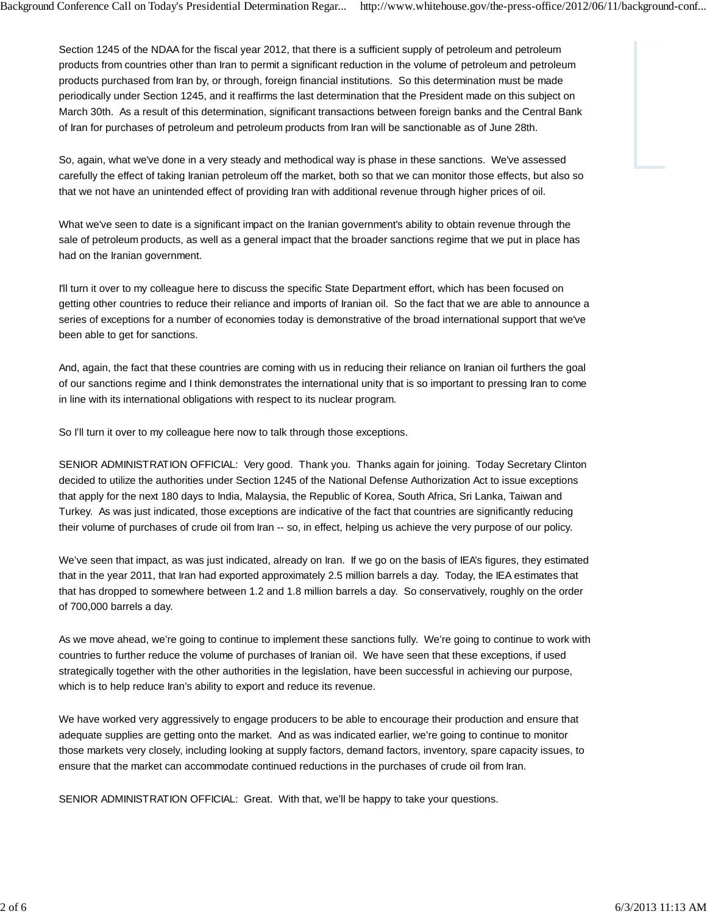Section 1245 of the NDAA for the fiscal year 2012, that there is a sufficient supply of petroleum and petroleum products from countries other than Iran to permit a significant reduction in the volume of petroleum and petroleum products purchased from Iran by, or through, foreign financial institutions. So this determination must be made periodically under Section 1245, and it reaffirms the last determination that the President made on this subject on March 30th. As a result of this determination, significant transactions between foreign banks and the Central Bank of Iran for purchases of petroleum and petroleum products from Iran will be sanctionable as of June 28th.

So, again, what we've done in a very steady and methodical way is phase in these sanctions. We've assessed carefully the effect of taking Iranian petroleum off the market, both so that we can monitor those effects, but also so that we not have an unintended effect of providing Iran with additional revenue through higher prices of oil.

What we've seen to date is a significant impact on the Iranian government's ability to obtain revenue through the sale of petroleum products, as well as a general impact that the broader sanctions regime that we put in place has had on the Iranian government.

I'll turn it over to my colleague here to discuss the specific State Department effort, which has been focused on getting other countries to reduce their reliance and imports of Iranian oil. So the fact that we are able to announce a series of exceptions for a number of economies today is demonstrative of the broad international support that we've been able to get for sanctions.

And, again, the fact that these countries are coming with us in reducing their reliance on Iranian oil furthers the goal of our sanctions regime and I think demonstrates the international unity that is so important to pressing Iran to come in line with its international obligations with respect to its nuclear program.

So I'll turn it over to my colleague here now to talk through those exceptions.

SENIOR ADMINISTRATION OFFICIAL: Very good. Thank you. Thanks again for joining. Today Secretary Clinton decided to utilize the authorities under Section 1245 of the National Defense Authorization Act to issue exceptions that apply for the next 180 days to India, Malaysia, the Republic of Korea, South Africa, Sri Lanka, Taiwan and Turkey. As was just indicated, those exceptions are indicative of the fact that countries are significantly reducing their volume of purchases of crude oil from Iran -- so, in effect, helping us achieve the very purpose of our policy.

We've seen that impact, as was just indicated, already on Iran. If we go on the basis of IEA's figures, they estimated that in the year 2011, that Iran had exported approximately 2.5 million barrels a day. Today, the IEA estimates that that has dropped to somewhere between 1.2 and 1.8 million barrels a day. So conservatively, roughly on the order of 700,000 barrels a day.

As we move ahead, we're going to continue to implement these sanctions fully. We're going to continue to work with countries to further reduce the volume of purchases of Iranian oil. We have seen that these exceptions, if used strategically together with the other authorities in the legislation, have been successful in achieving our purpose, which is to help reduce Iran's ability to export and reduce its revenue.

We have worked very aggressively to engage producers to be able to encourage their production and ensure that adequate supplies are getting onto the market. And as was indicated earlier, we're going to continue to monitor those markets very closely, including looking at supply factors, demand factors, inventory, spare capacity issues, to ensure that the market can accommodate continued reductions in the purchases of crude oil from Iran.

SENIOR ADMINISTRATION OFFICIAL: Great. With that, we'll be happy to take your questions.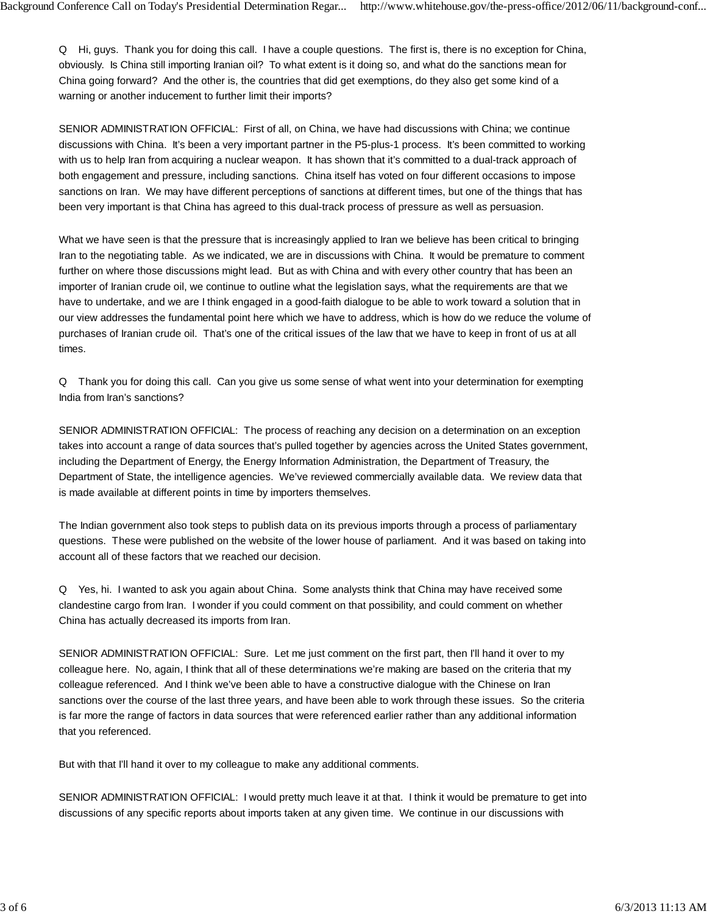Q Hi, guys. Thank you for doing this call. I have a couple questions. The first is, there is no exception for China, obviously. Is China still importing Iranian oil? To what extent is it doing so, and what do the sanctions mean for China going forward? And the other is, the countries that did get exemptions, do they also get some kind of a warning or another inducement to further limit their imports?

SENIOR ADMINISTRATION OFFICIAL: First of all, on China, we have had discussions with China; we continue discussions with China. It's been a very important partner in the P5-plus-1 process. It's been committed to working with us to help Iran from acquiring a nuclear weapon. It has shown that it's committed to a dual-track approach of both engagement and pressure, including sanctions. China itself has voted on four different occasions to impose sanctions on Iran. We may have different perceptions of sanctions at different times, but one of the things that has been very important is that China has agreed to this dual-track process of pressure as well as persuasion.

What we have seen is that the pressure that is increasingly applied to Iran we believe has been critical to bringing Iran to the negotiating table. As we indicated, we are in discussions with China. It would be premature to comment further on where those discussions might lead. But as with China and with every other country that has been an importer of Iranian crude oil, we continue to outline what the legislation says, what the requirements are that we have to undertake, and we are I think engaged in a good-faith dialogue to be able to work toward a solution that in our view addresses the fundamental point here which we have to address, which is how do we reduce the volume of purchases of Iranian crude oil. That's one of the critical issues of the law that we have to keep in front of us at all times.

Q Thank you for doing this call. Can you give us some sense of what went into your determination for exempting India from Iran's sanctions?

SENIOR ADMINISTRATION OFFICIAL: The process of reaching any decision on a determination on an exception takes into account a range of data sources that's pulled together by agencies across the United States government, including the Department of Energy, the Energy Information Administration, the Department of Treasury, the Department of State, the intelligence agencies. We've reviewed commercially available data. We review data that is made available at different points in time by importers themselves.

The Indian government also took steps to publish data on its previous imports through a process of parliamentary questions. These were published on the website of the lower house of parliament. And it was based on taking into account all of these factors that we reached our decision.

Q Yes, hi. I wanted to ask you again about China. Some analysts think that China may have received some clandestine cargo from Iran. I wonder if you could comment on that possibility, and could comment on whether China has actually decreased its imports from Iran.

SENIOR ADMINISTRATION OFFICIAL: Sure. Let me just comment on the first part, then I'll hand it over to my colleague here. No, again, I think that all of these determinations we're making are based on the criteria that my colleague referenced. And I think we've been able to have a constructive dialogue with the Chinese on Iran sanctions over the course of the last three years, and have been able to work through these issues. So the criteria is far more the range of factors in data sources that were referenced earlier rather than any additional information that you referenced.

But with that I'll hand it over to my colleague to make any additional comments.

SENIOR ADMINISTRATION OFFICIAL: I would pretty much leave it at that. I think it would be premature to get into discussions of any specific reports about imports taken at any given time. We continue in our discussions with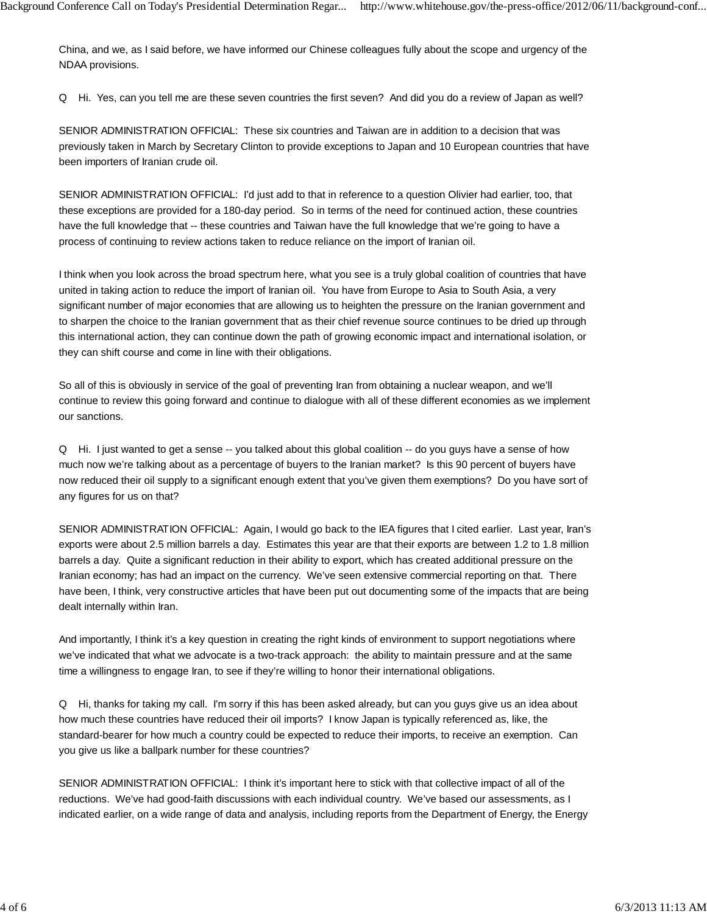China, and we, as I said before, we have informed our Chinese colleagues fully about the scope and urgency of the NDAA provisions.

Q Hi. Yes, can you tell me are these seven countries the first seven? And did you do a review of Japan as well?

SENIOR ADMINISTRATION OFFICIAL: These six countries and Taiwan are in addition to a decision that was previously taken in March by Secretary Clinton to provide exceptions to Japan and 10 European countries that have been importers of Iranian crude oil.

SENIOR ADMINISTRATION OFFICIAL: I'd just add to that in reference to a question Olivier had earlier, too, that these exceptions are provided for a 180-day period. So in terms of the need for continued action, these countries have the full knowledge that -- these countries and Taiwan have the full knowledge that we're going to have a process of continuing to review actions taken to reduce reliance on the import of Iranian oil.

I think when you look across the broad spectrum here, what you see is a truly global coalition of countries that have united in taking action to reduce the import of Iranian oil. You have from Europe to Asia to South Asia, a very significant number of major economies that are allowing us to heighten the pressure on the Iranian government and to sharpen the choice to the Iranian government that as their chief revenue source continues to be dried up through this international action, they can continue down the path of growing economic impact and international isolation, or they can shift course and come in line with their obligations.

So all of this is obviously in service of the goal of preventing Iran from obtaining a nuclear weapon, and we'll continue to review this going forward and continue to dialogue with all of these different economies as we implement our sanctions.

Q Hi. I just wanted to get a sense -- you talked about this global coalition -- do you guys have a sense of how much now we're talking about as a percentage of buyers to the Iranian market? Is this 90 percent of buyers have now reduced their oil supply to a significant enough extent that you've given them exemptions? Do you have sort of any figures for us on that?

SENIOR ADMINISTRATION OFFICIAL: Again, I would go back to the IEA figures that I cited earlier. Last year, Iran's exports were about 2.5 million barrels a day. Estimates this year are that their exports are between 1.2 to 1.8 million barrels a day. Quite a significant reduction in their ability to export, which has created additional pressure on the Iranian economy; has had an impact on the currency. We've seen extensive commercial reporting on that. There have been, I think, very constructive articles that have been put out documenting some of the impacts that are being dealt internally within Iran.

And importantly, I think it's a key question in creating the right kinds of environment to support negotiations where we've indicated that what we advocate is a two-track approach: the ability to maintain pressure and at the same time a willingness to engage Iran, to see if they're willing to honor their international obligations.

Q Hi, thanks for taking my call. I'm sorry if this has been asked already, but can you guys give us an idea about how much these countries have reduced their oil imports? I know Japan is typically referenced as, like, the standard-bearer for how much a country could be expected to reduce their imports, to receive an exemption. Can you give us like a ballpark number for these countries?

SENIOR ADMINISTRATION OFFICIAL: I think it's important here to stick with that collective impact of all of the reductions. We've had good-faith discussions with each individual country. We've based our assessments, as I indicated earlier, on a wide range of data and analysis, including reports from the Department of Energy, the Energy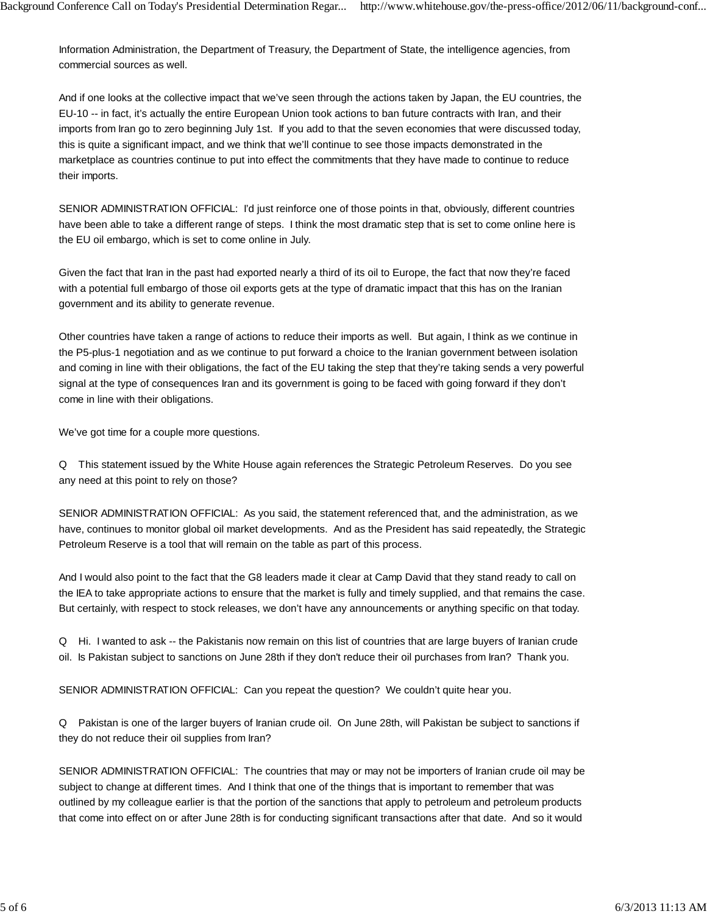Information Administration, the Department of Treasury, the Department of State, the intelligence agencies, from commercial sources as well.

And if one looks at the collective impact that we've seen through the actions taken by Japan, the EU countries, the EU-10 -- in fact, it's actually the entire European Union took actions to ban future contracts with Iran, and their imports from Iran go to zero beginning July 1st. If you add to that the seven economies that were discussed today, this is quite a significant impact, and we think that we'll continue to see those impacts demonstrated in the marketplace as countries continue to put into effect the commitments that they have made to continue to reduce their imports.

SENIOR ADMINISTRATION OFFICIAL: I'd just reinforce one of those points in that, obviously, different countries have been able to take a different range of steps. I think the most dramatic step that is set to come online here is the EU oil embargo, which is set to come online in July.

Given the fact that Iran in the past had exported nearly a third of its oil to Europe, the fact that now they're faced with a potential full embargo of those oil exports gets at the type of dramatic impact that this has on the Iranian government and its ability to generate revenue.

Other countries have taken a range of actions to reduce their imports as well. But again, I think as we continue in the P5-plus-1 negotiation and as we continue to put forward a choice to the Iranian government between isolation and coming in line with their obligations, the fact of the EU taking the step that they're taking sends a very powerful signal at the type of consequences Iran and its government is going to be faced with going forward if they don't come in line with their obligations.

We've got time for a couple more questions.

Q This statement issued by the White House again references the Strategic Petroleum Reserves. Do you see any need at this point to rely on those?

SENIOR ADMINISTRATION OFFICIAL: As you said, the statement referenced that, and the administration, as we have, continues to monitor global oil market developments. And as the President has said repeatedly, the Strategic Petroleum Reserve is a tool that will remain on the table as part of this process.

And I would also point to the fact that the G8 leaders made it clear at Camp David that they stand ready to call on the IEA to take appropriate actions to ensure that the market is fully and timely supplied, and that remains the case. But certainly, with respect to stock releases, we don't have any announcements or anything specific on that today.

Q Hi. I wanted to ask -- the Pakistanis now remain on this list of countries that are large buyers of Iranian crude oil. Is Pakistan subject to sanctions on June 28th if they don't reduce their oil purchases from Iran? Thank you.

SENIOR ADMINISTRATION OFFICIAL: Can you repeat the question? We couldn't quite hear you.

Q Pakistan is one of the larger buyers of Iranian crude oil. On June 28th, will Pakistan be subject to sanctions if they do not reduce their oil supplies from Iran?

SENIOR ADMINISTRATION OFFICIAL: The countries that may or may not be importers of Iranian crude oil may be subject to change at different times. And I think that one of the things that is important to remember that was outlined by my colleague earlier is that the portion of the sanctions that apply to petroleum and petroleum products that come into effect on or after June 28th is for conducting significant transactions after that date. And so it would